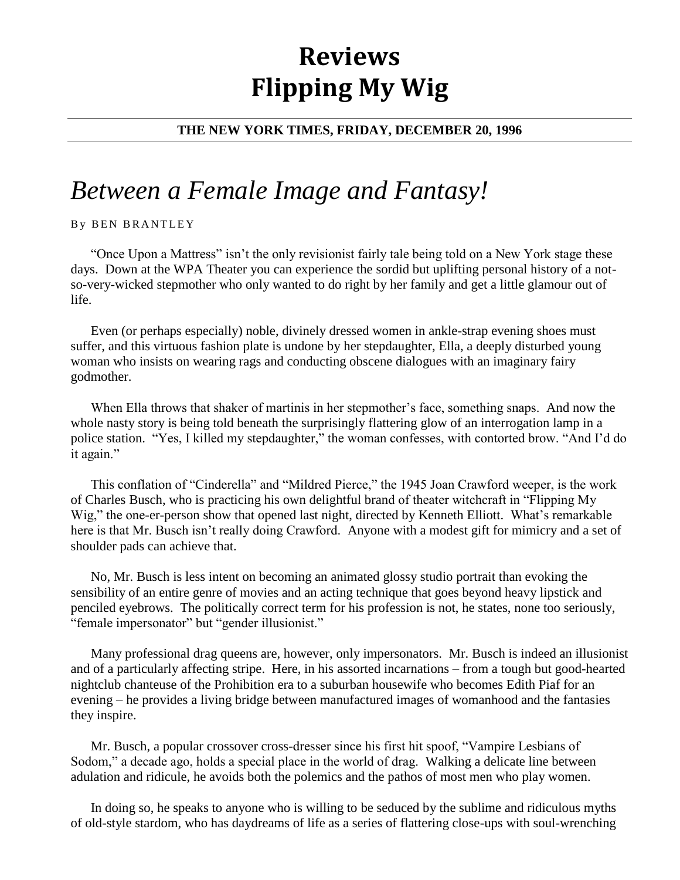## **Reviews Flipping My Wig**

## **THE NEW YORK TIMES, FRIDAY, DECEMBER 20, 1996**

## *Between a Female Image and Fantasy!*

By BEN BRANTLEY

"Once Upon a Mattress" isn't the only revisionist fairly tale being told on a New York stage these days. Down at the WPA Theater you can experience the sordid but uplifting personal history of a notso-very-wicked stepmother who only wanted to do right by her family and get a little glamour out of life.

Even (or perhaps especially) noble, divinely dressed women in ankle-strap evening shoes must suffer, and this virtuous fashion plate is undone by her stepdaughter, Ella, a deeply disturbed young woman who insists on wearing rags and conducting obscene dialogues with an imaginary fairy godmother.

When Ella throws that shaker of martinis in her stepmother's face, something snaps. And now the whole nasty story is being told beneath the surprisingly flattering glow of an interrogation lamp in a police station. "Yes, I killed my stepdaughter," the woman confesses, with contorted brow. "And I'd do it again."

This conflation of "Cinderella" and "Mildred Pierce," the 1945 Joan Crawford weeper, is the work of Charles Busch, who is practicing his own delightful brand of theater witchcraft in "Flipping My Wig," the one-er-person show that opened last night, directed by Kenneth Elliott. What's remarkable here is that Mr. Busch isn't really doing Crawford. Anyone with a modest gift for mimicry and a set of shoulder pads can achieve that.

No, Mr. Busch is less intent on becoming an animated glossy studio portrait than evoking the sensibility of an entire genre of movies and an acting technique that goes beyond heavy lipstick and penciled eyebrows. The politically correct term for his profession is not, he states, none too seriously, "female impersonator" but "gender illusionist."

Many professional drag queens are, however, only impersonators. Mr. Busch is indeed an illusionist and of a particularly affecting stripe. Here, in his assorted incarnations – from a tough but good-hearted nightclub chanteuse of the Prohibition era to a suburban housewife who becomes Edith Piaf for an evening – he provides a living bridge between manufactured images of womanhood and the fantasies they inspire.

Mr. Busch, a popular crossover cross-dresser since his first hit spoof, "Vampire Lesbians of Sodom," a decade ago, holds a special place in the world of drag. Walking a delicate line between adulation and ridicule, he avoids both the polemics and the pathos of most men who play women.

In doing so, he speaks to anyone who is willing to be seduced by the sublime and ridiculous myths of old-style stardom, who has daydreams of life as a series of flattering close-ups with soul-wrenching